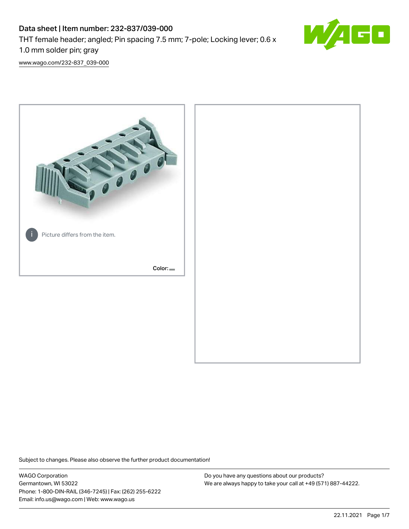# Data sheet | Item number: 232-837/039-000 THT female header; angled; Pin spacing 7.5 mm; 7-pole; Locking lever; 0.6 x 1.0 mm solder pin; gray



[www.wago.com/232-837\\_039-000](http://www.wago.com/232-837_039-000)



Subject to changes. Please also observe the further product documentation!

WAGO Corporation Germantown, WI 53022 Phone: 1-800-DIN-RAIL (346-7245) | Fax: (262) 255-6222 Email: info.us@wago.com | Web: www.wago.us

Do you have any questions about our products? We are always happy to take your call at +49 (571) 887-44222.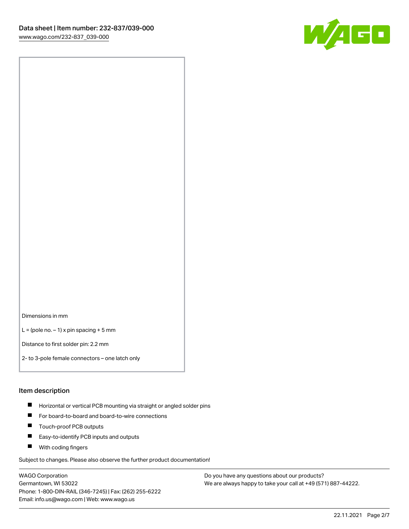

Dimensions in mm

 $L =$  (pole no.  $-1$ ) x pin spacing + 5 mm

Distance to first solder pin: 2.2 mm

2- to 3-pole female connectors – one latch only

#### Item description

- **Horizontal or vertical PCB mounting via straight or angled solder pins**
- For board-to-board and board-to-wire connections
- $\blacksquare$ Touch-proof PCB outputs
- $\blacksquare$ Easy-to-identify PCB inputs and outputs
- **Now With coding fingers**

Subject to changes. Please also observe the further product documentation!

WAGO Corporation Germantown, WI 53022 Phone: 1-800-DIN-RAIL (346-7245) | Fax: (262) 255-6222 Email: info.us@wago.com | Web: www.wago.us

Do you have any questions about our products? We are always happy to take your call at +49 (571) 887-44222.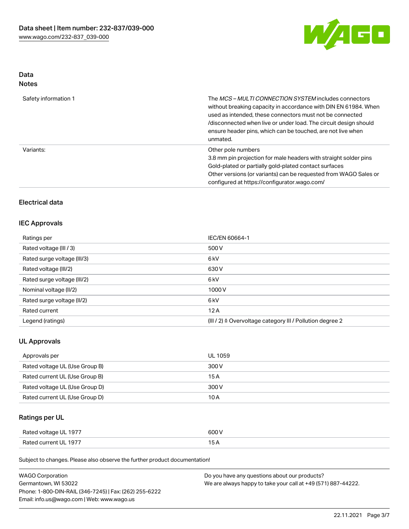

# Data

| Safety information 1 | The <i>MCS – MULTI CONNECTION SYSTEM</i> includes connectors<br>without breaking capacity in accordance with DIN EN 61984. When<br>used as intended, these connectors must not be connected<br>/disconnected when live or under load. The circuit design should<br>ensure header pins, which can be touched, are not live when<br>unmated. |
|----------------------|--------------------------------------------------------------------------------------------------------------------------------------------------------------------------------------------------------------------------------------------------------------------------------------------------------------------------------------------|
| Variants:            | Other pole numbers<br>3.8 mm pin projection for male headers with straight solder pins<br>Gold-plated or partially gold-plated contact surfaces<br>Other versions (or variants) can be requested from WAGO Sales or<br>configured at https://configurator.wago.com/                                                                        |

## Electrical data

## IEC Approvals

| Ratings per                 | IEC/EN 60664-1                                                       |
|-----------------------------|----------------------------------------------------------------------|
| Rated voltage (III / 3)     | 500 V                                                                |
| Rated surge voltage (III/3) | 6 <sub>k</sub> V                                                     |
| Rated voltage (III/2)       | 630 V                                                                |
| Rated surge voltage (III/2) | 6 <sub>k</sub> V                                                     |
| Nominal voltage (II/2)      | 1000V                                                                |
| Rated surge voltage (II/2)  | 6 <sub>k</sub> V                                                     |
| Rated current               | 12A                                                                  |
| Legend (ratings)            | (III / 2) $\triangleq$ Overvoltage category III / Pollution degree 2 |

## UL Approvals

| Approvals per                  | UL 1059 |
|--------------------------------|---------|
| Rated voltage UL (Use Group B) | 300 V   |
| Rated current UL (Use Group B) | 15 A    |
| Rated voltage UL (Use Group D) | 300 V   |
| Rated current UL (Use Group D) | 10 A    |

# Ratings per UL

| Rated voltage UL 1977 | 600 V |
|-----------------------|-------|
| Rated current UL 1977 |       |

Subject to changes. Please also observe the further product documentation!

| <b>WAGO Corporation</b>                                | Do you have any questions about our products?                 |
|--------------------------------------------------------|---------------------------------------------------------------|
| Germantown, WI 53022                                   | We are always happy to take your call at +49 (571) 887-44222. |
| Phone: 1-800-DIN-RAIL (346-7245)   Fax: (262) 255-6222 |                                                               |
| Email: info.us@wago.com   Web: www.wago.us             |                                                               |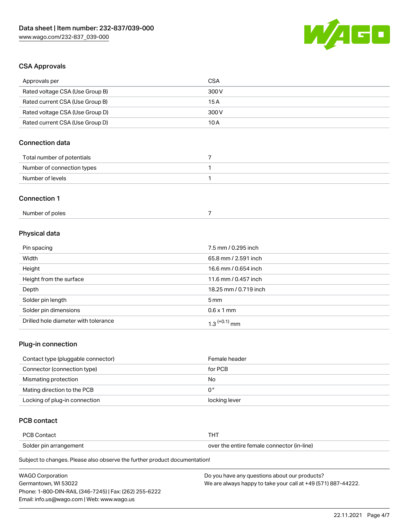

## CSA Approvals

| Approvals per                   | <b>CSA</b>           |
|---------------------------------|----------------------|
| Rated voltage CSA (Use Group B) | 300V                 |
| Rated current CSA (Use Group B) | 15A                  |
| Rated voltage CSA (Use Group D) | 300V                 |
| Rated current CSA (Use Group D) | 10A                  |
| <b>Connection data</b>          |                      |
| Total number of potentials      | $\overline{7}$       |
| Number of connection types      | 1                    |
| Number of levels                | 1                    |
| <b>Connection 1</b>             |                      |
| Number of poles                 | $\overline{7}$       |
| Physical data                   |                      |
| Pin spacing                     | 7.5 mm / 0.295 inch  |
| Width                           | 65.8 mm / 2.591 inch |
| Height                          | 16.6 mm / 0.654 inch |

| Height                               | 16.6 mm / 0.654 inch       |
|--------------------------------------|----------------------------|
| Height from the surface              | 11.6 mm / 0.457 inch       |
| Depth                                | 18.25 mm / 0.719 inch      |
| Solder pin length                    | 5 mm                       |
| Solder pin dimensions                | $0.6 \times 1$ mm          |
| Drilled hole diameter with tolerance | $1.3$ <sup>(+0.1)</sup> mm |

# Plug-in connection

| Contact type (pluggable connector) | Female header |
|------------------------------------|---------------|
| Connector (connection type)        | for PCB       |
| Mismating protection               | No            |
| Mating direction to the PCB        | 0°            |
| Locking of plug-in connection      | locking lever |

## PCB contact

| <b>PCB Contact</b>     |                                            |
|------------------------|--------------------------------------------|
| Solder pin arrangement | over the entire female connector (in-line) |

Subject to changes. Please also observe the further product documentation!

| <b>WAGO Corporation</b>                                | Do you have any questions about our products?                 |
|--------------------------------------------------------|---------------------------------------------------------------|
| Germantown. WI 53022                                   | We are always happy to take your call at +49 (571) 887-44222. |
| Phone: 1-800-DIN-RAIL (346-7245)   Fax: (262) 255-6222 |                                                               |
| Email: info.us@wago.com   Web: www.wago.us             |                                                               |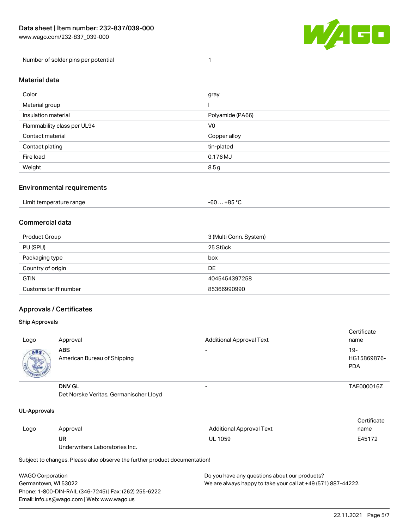

Number of solder pins per potential 1

#### Material data

| Color                       | gray             |
|-----------------------------|------------------|
| Material group              |                  |
| Insulation material         | Polyamide (PA66) |
| Flammability class per UL94 | V0               |
| Contact material            | Copper alloy     |
| Contact plating             | tin-plated       |
| Fire load                   | 0.176 MJ         |
| Weight                      | 8.5g             |

### Environmental requirements

| Limit temperature range<br>. | . +85 °C<br>-60 |  |
|------------------------------|-----------------|--|
|------------------------------|-----------------|--|

## Commercial data

| Product Group         | 3 (Multi Conn. System) |
|-----------------------|------------------------|
| PU (SPU)              | 25 Stück               |
| Packaging type        | box                    |
| Country of origin     | DE                     |
| <b>GTIN</b>           | 4045454397258          |
| Customs tariff number | 85366990990            |

## Approvals / Certificates

#### Ship Approvals

| Logo | Approval                                                | <b>Additional Approval Text</b> | Certificate<br>name                |
|------|---------------------------------------------------------|---------------------------------|------------------------------------|
| ABS  | <b>ABS</b><br>American Bureau of Shipping               | -                               | $19-$<br>HG15869876-<br><b>PDA</b> |
|      | <b>DNV GL</b><br>Det Norske Veritas, Germanischer Lloyd | $\overline{\phantom{0}}$        | TAE000016Z                         |

#### UL-Approvals

| Logo | Approval                       | Additional Approval Text | Certificate<br>name |
|------|--------------------------------|--------------------------|---------------------|
|      | UR                             | <b>UL 1059</b>           | E45172              |
|      | Underwriters Laboratories Inc. |                          |                     |

Subject to changes. Please also observe the further product documentation!

| <b>WAGO Corporation</b>                                | Do you have any questions about our products?                 |
|--------------------------------------------------------|---------------------------------------------------------------|
| Germantown, WI 53022                                   | We are always happy to take your call at +49 (571) 887-44222. |
| Phone: 1-800-DIN-RAIL (346-7245)   Fax: (262) 255-6222 |                                                               |
| Email: info.us@wago.com   Web: www.wago.us             |                                                               |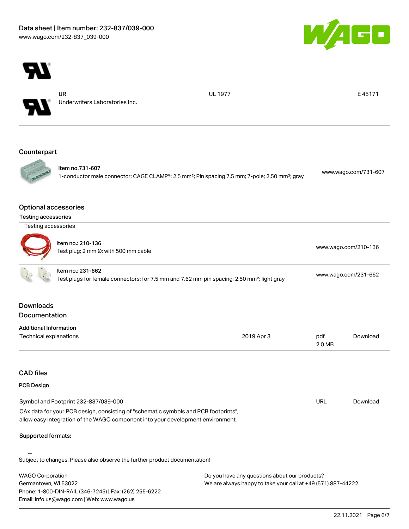